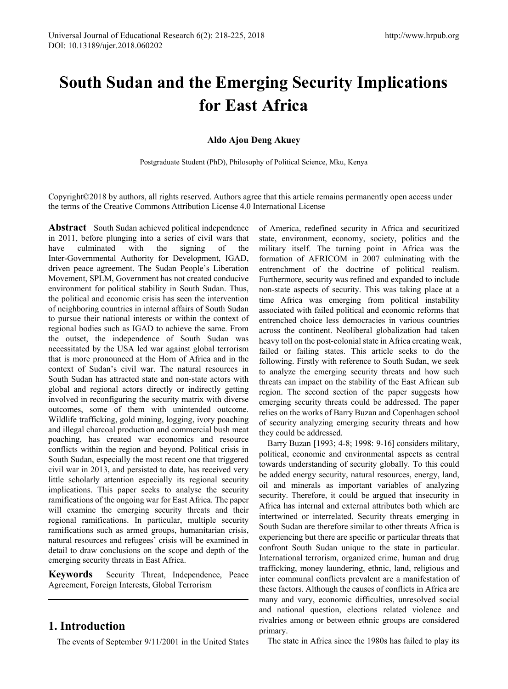# **South Sudan and the Emerging Security Implications for East Africa**

### **Aldo Ajou Deng Akuey**

Postgraduate Student (PhD), Philosophy of Political Science, Mku, Kenya

Copyright©2018 by authors, all rights reserved. Authors agree that this article remains permanently open access under the terms of the Creative Commons Attribution License 4.0 International License

Abstract South Sudan achieved political independence in 2011, before plunging into a series of civil wars that have culminated with the signing of the have culminated with the signing of the Inter-Governmental Authority for Development, IGAD, driven peace agreement. The Sudan People's Liberation Movement, SPLM, Government has not created conducive environment for political stability in South Sudan. Thus, the political and economic crisis has seen the intervention of neighboring countries in internal affairs of South Sudan to pursue their national interests or within the context of regional bodies such as IGAD to achieve the same. From the outset, the independence of South Sudan was necessitated by the USA led war against global terrorism that is more pronounced at the Horn of Africa and in the context of Sudan's civil war. The natural resources in South Sudan has attracted state and non-state actors with global and regional actors directly or indirectly getting involved in reconfiguring the security matrix with diverse outcomes, some of them with unintended outcome. Wildlife trafficking, gold mining, logging, ivory poaching and illegal charcoal production and commercial bush meat poaching, has created war economics and resource conflicts within the region and beyond. Political crisis in South Sudan, especially the most recent one that triggered civil war in 2013, and persisted to date, has received very little scholarly attention especially its regional security implications. This paper seeks to analyse the security ramifications of the ongoing war for East Africa. The paper will examine the emerging security threats and their regional ramifications. In particular, multiple security ramifications such as armed groups, humanitarian crisis, natural resources and refugees' crisis will be examined in detail to draw conclusions on the scope and depth of the emerging security threats in East Africa.

**Keywords** Security Threat, Independence, Peace Agreement, Foreign Interests, Global Terrorism

## **1. Introduction**

The events of September 9/11/2001 in the United States

of America, redefined security in Africa and securitized state, environment, economy, society, politics and the military itself. The turning point in Africa was the formation of AFRICOM in 2007 culminating with the entrenchment of the doctrine of political realism. Furthermore, security was refined and expanded to include non-state aspects of security. This was taking place at a time Africa was emerging from political instability associated with failed political and economic reforms that entrenched choice less democracies in various countries across the continent. Neoliberal globalization had taken heavy toll on the post-colonial state in Africa creating weak, failed or failing states. This article seeks to do the following. Firstly with reference to South Sudan, we seek to analyze the emerging security threats and how such threats can impact on the stability of the East African sub region. The second section of the paper suggests how emerging security threats could be addressed. The paper relies on the works of Barry Buzan and Copenhagen school of security analyzing emerging security threats and how they could be addressed.

Barry Buzan [1993; 4-8; 1998: 9-16] considers military, political, economic and environmental aspects as central towards understanding of security globally. To this could be added energy security, natural resources, energy, land, oil and minerals as important variables of analyzing security. Therefore, it could be argued that insecurity in Africa has internal and external attributes both which are intertwined or interrelated. Security threats emerging in South Sudan are therefore similar to other threats Africa is experiencing but there are specific or particular threats that confront South Sudan unique to the state in particular. International terrorism, organized crime, human and drug trafficking, money laundering, ethnic, land, religious and inter communal conflicts prevalent are a manifestation of these factors. Although the causes of conflicts in Africa are many and vary, economic difficulties, unresolved social and national question, elections related violence and rivalries among or between ethnic groups are considered primary.

The state in Africa since the 1980s has failed to play its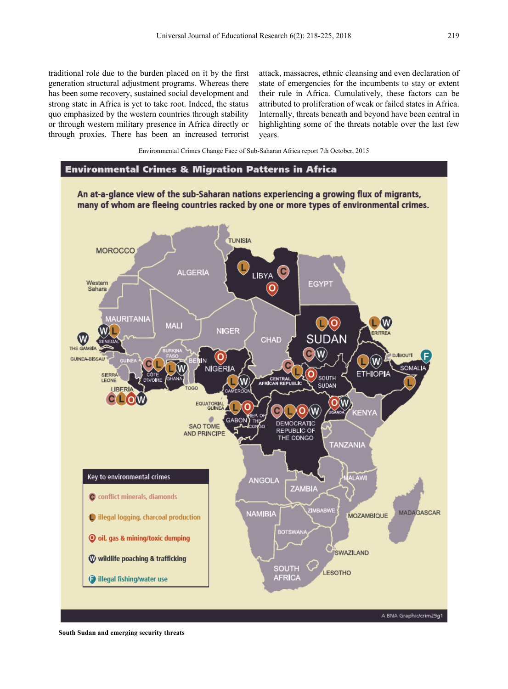traditional role due to the burden placed on it by the first generation structural adjustment programs. Whereas there has been some recovery, sustained social development and strong state in Africa is yet to take root. Indeed, the status quo emphasized by the western countries through stability or through western military presence in Africa directly or through proxies. There has been an increased terrorist

attack, massacres, ethnic cleansing and even declaration of state of emergencies for the incumbents to stay or extent their rule in Africa. Cumulatively, these factors can be attributed to proliferation of weak or failed states in Africa. Internally, threats beneath and beyond have been central in highlighting some of the threats notable over the last few years.

Environmental Crimes Change Face of Sub-Saharan Africa report 7th October, 2015

#### **Environmental Crimes & Migration Patterns in Africa**

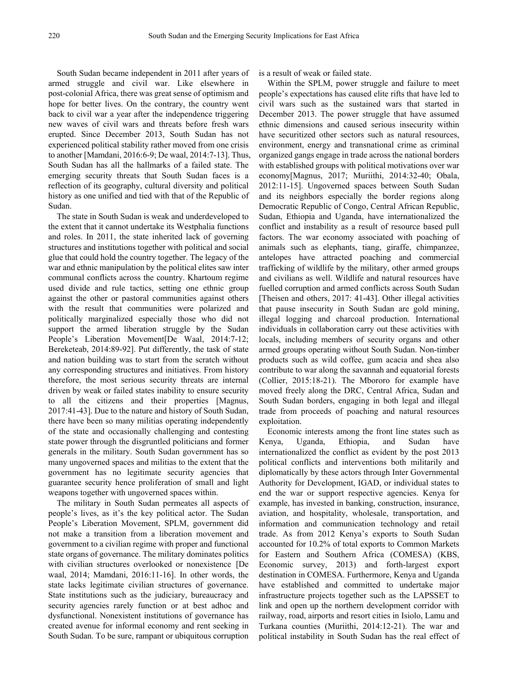South Sudan became independent in 2011 after years of armed struggle and civil war. Like elsewhere in post-colonial Africa, there was great sense of optimism and hope for better lives. On the contrary, the country went back to civil war a year after the independence triggering new waves of civil wars and threats before fresh wars erupted. Since December 2013, South Sudan has not experienced political stability rather moved from one crisis to another [Mamdani, 2016:6-9; De waal, 2014:7-13]. Thus, South Sudan has all the hallmarks of a failed state. The emerging security threats that South Sudan faces is a reflection of its geography, cultural diversity and political history as one unified and tied with that of the Republic of Sudan.

The state in South Sudan is weak and underdeveloped to the extent that it cannot undertake its Westphalia functions and roles. In 2011, the state inherited lack of governing structures and institutions together with political and social glue that could hold the country together. The legacy of the war and ethnic manipulation by the political elites saw inter communal conflicts across the country. Khartoum regime used divide and rule tactics, setting one ethnic group against the other or pastoral communities against others with the result that communities were polarized and politically marginalized especially those who did not support the armed liberation struggle by the Sudan People's Liberation Movement[De Waal, 2014:7-12; Bereketeab, 2014:89-92]. Put differently, the task of state and nation building was to start from the scratch without any corresponding structures and initiatives. From history therefore, the most serious security threats are internal driven by weak or failed states inability to ensure security to all the citizens and their properties [Magnus, 2017:41-43]. Due to the nature and history of South Sudan, there have been so many militias operating independently of the state and occasionally challenging and contesting state power through the disgruntled politicians and former generals in the military. South Sudan government has so many ungoverned spaces and militias to the extent that the government has no legitimate security agencies that guarantee security hence proliferation of small and light weapons together with ungoverned spaces within.

The military in South Sudan permeates all aspects of people's lives, as it's the key political actor. The Sudan People's Liberation Movement, SPLM, government did not make a transition from a liberation movement and government to a civilian regime with proper and functional state organs of governance. The military dominates politics with civilian structures overlooked or nonexistence [De waal, 2014; Mamdani, 2016:11-16]. In other words, the state lacks legitimate civilian structures of governance. State institutions such as the judiciary, bureaucracy and security agencies rarely function or at best adhoc and dysfunctional. Nonexistent institutions of governance has created avenue for informal economy and rent seeking in South Sudan. To be sure, rampant or ubiquitous corruption

is a result of weak or failed state.

Within the SPLM, power struggle and failure to meet people's expectations has caused elite rifts that have led to civil wars such as the sustained wars that started in December 2013. The power struggle that have assumed ethnic dimensions and caused serious insecurity within have securitized other sectors such as natural resources, environment, energy and transnational crime as criminal organized gangs engage in trade across the national borders with established groups with political motivations over war economy[Magnus, 2017; Muriithi, 2014:32-40; Obala, 2012:11-15]. Ungoverned spaces between South Sudan and its neighbors especially the border regions along Democratic Republic of Congo, Central African Republic, Sudan, Ethiopia and Uganda, have internationalized the conflict and instability as a result of resource based pull factors. The war economy associated with poaching of animals such as elephants, tiang, giraffe, chimpanzee, antelopes have attracted poaching and commercial trafficking of wildlife by the military, other armed groups and civilians as well. Wildlife and natural resources have fuelled corruption and armed conflicts across South Sudan [Theisen and others, 2017: 41-43]. Other illegal activities that pause insecurity in South Sudan are gold mining, illegal logging and charcoal production. International individuals in collaboration carry out these activities with locals, including members of security organs and other armed groups operating without South Sudan. Non-timber products such as wild coffee, gum acacia and shea also contribute to war along the savannah and equatorial forests (Collier, 2015:18-21). The Mbororo for example have moved freely along the DRC, Central Africa, Sudan and South Sudan borders, engaging in both legal and illegal trade from proceeds of poaching and natural resources exploitation.

Economic interests among the front line states such as Kenya, Uganda, Ethiopia, and Sudan have internationalized the conflict as evident by the post 2013 political conflicts and interventions both militarily and diplomatically by these actors through Inter Governmental Authority for Development, IGAD, or individual states to end the war or support respective agencies. Kenya for example, has invested in banking, construction, insurance, aviation, and hospitality, wholesale, transportation, and information and communication technology and retail trade. As from 2012 Kenya's exports to South Sudan accounted for 10.2% of total exports to Common Markets for Eastern and Southern Africa (COMESA) (KBS, Economic survey, 2013) and forth-largest export destination in COMESA. Furthermore, Kenya and Uganda have established and committed to undertake major infrastructure projects together such as the LAPSSET to link and open up the northern development corridor with railway, road, airports and resort cities in Isiolo, Lamu and Turkana counties (Muriithi, 2014:12-21). The war and political instability in South Sudan has the real effect of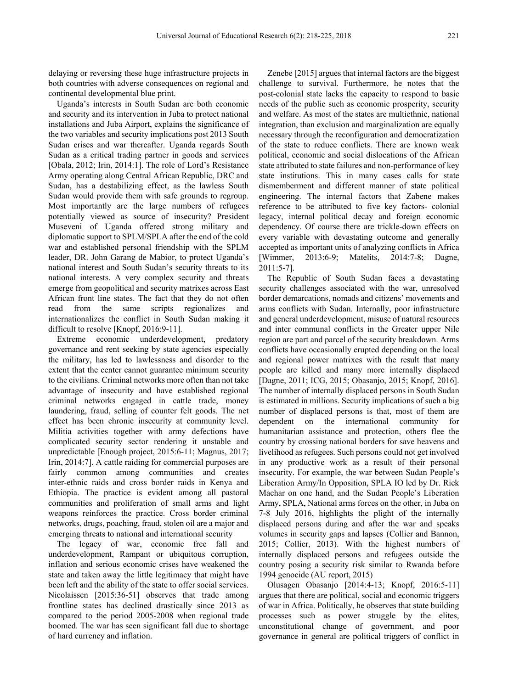delaying or reversing these huge infrastructure projects in both countries with adverse consequences on regional and continental developmental blue print.

Uganda's interests in South Sudan are both economic and security and its intervention in Juba to protect national installations and Juba Airport, explains the significance of the two variables and security implications post 2013 South Sudan crises and war thereafter. Uganda regards South Sudan as a critical trading partner in goods and services [Obala, 2012; Irin, 2014:1]. The role of Lord's Resistance Army operating along Central African Republic, DRC and Sudan, has a destabilizing effect, as the lawless South Sudan would provide them with safe grounds to regroup. Most importantly are the large numbers of refugees potentially viewed as source of insecurity? President Museveni of Uganda offered strong military and diplomatic support to SPLM/SPLA after the end of the cold war and established personal friendship with the SPLM leader, DR. John Garang de Mabior, to protect Uganda's national interest and South Sudan's security threats to its national interests. A very complex security and threats emerge from geopolitical and security matrixes across East African front line states. The fact that they do not often read from the same scripts regionalizes and internationalizes the conflict in South Sudan making it difficult to resolve [Knopf, 2016:9-11].

Extreme economic underdevelopment, predatory governance and rent seeking by state agencies especially the military, has led to lawlessness and disorder to the extent that the center cannot guarantee minimum security to the civilians. Criminal networks more often than not take advantage of insecurity and have established regional criminal networks engaged in cattle trade, money laundering, fraud, selling of counter felt goods. The net effect has been chronic insecurity at community level. Militia activities together with army defections have complicated security sector rendering it unstable and unpredictable [Enough project, 2015:6-11; Magnus, 2017; Irin, 2014:7]. A cattle raiding for commercial purposes are fairly common among communities and creates inter-ethnic raids and cross border raids in Kenya and Ethiopia. The practice is evident among all pastoral communities and proliferation of small arms and light weapons reinforces the practice. Cross border criminal networks, drugs, poaching, fraud, stolen oil are a major and emerging threats to national and international security

The legacy of war, economic free fall and underdevelopment, Rampant or ubiquitous corruption, inflation and serious economic crises have weakened the state and taken away the little legitimacy that might have been left and the ability of the state to offer social services. Nicolaissen [2015:36-51] observes that trade among frontline states has declined drastically since 2013 as compared to the period 2005-2008 when regional trade boomed. The war has seen significant fall due to shortage of hard currency and inflation.

Zenebe [2015] argues that internal factors are the biggest challenge to survival. Furthermore, he notes that the post-colonial state lacks the capacity to respond to basic needs of the public such as economic prosperity, security and welfare. As most of the states are multiethnic, national integration, than exclusion and marginalization are equally necessary through the reconfiguration and democratization of the state to reduce conflicts. There are known weak political, economic and social dislocations of the African state attributed to state failures and non-performance of key state institutions. This in many cases calls for state dismemberment and different manner of state political engineering. The internal factors that Zabene makes reference to be attributed to five key factors- colonial legacy, internal political decay and foreign economic dependency. Of course there are trickle-down effects on every variable with devastating outcome and generally accepted as important units of analyzing conflicts in Africa [Wimmer, 2013:6-9; Matelits, 2014:7-8; Dagne, 2011:5-7].

The Republic of South Sudan faces a devastating security challenges associated with the war, unresolved border demarcations, nomads and citizens' movements and arms conflicts with Sudan. Internally, poor infrastructure and general underdevelopment, misuse of natural resources and inter communal conflicts in the Greater upper Nile region are part and parcel of the security breakdown. Arms conflicts have occasionally erupted depending on the local and regional power matrixes with the result that many people are killed and many more internally displaced [Dagne, 2011; ICG, 2015; Obasanjo, 2015; Knopf, 2016]. The number of internally displaced persons in South Sudan is estimated in millions. Security implications of such a big number of displaced persons is that, most of them are dependent on the international community for humanitarian assistance and protection, others flee the country by crossing national borders for save heavens and livelihood as refugees. Such persons could not get involved in any productive work as a result of their personal insecurity. For example, the war between Sudan People's Liberation Army/In Opposition, SPLA IO led by Dr. Riek Machar on one hand, and the Sudan People's Liberation Army, SPLA, National arms forces on the other, in Juba on 7-8 July 2016, highlights the plight of the internally displaced persons during and after the war and speaks volumes in security gaps and lapses (Collier and Bannon, 2015; Collier, 2013). With the highest numbers of internally displaced persons and refugees outside the country posing a security risk similar to Rwanda before 1994 genocide (AU report, 2015)

Olusagen Obasanjo [2014:4-13; Knopf, 2016:5-11] argues that there are political, social and economic triggers of war in Africa. Politically, he observes that state building processes such as power struggle by the elites, unconstitutional change of government, and poor governance in general are political triggers of conflict in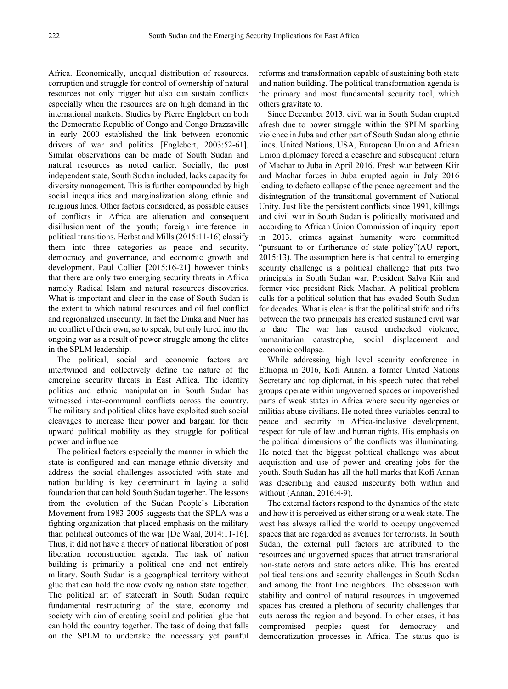Africa. Economically, unequal distribution of resources, corruption and struggle for control of ownership of natural resources not only trigger but also can sustain conflicts especially when the resources are on high demand in the international markets. Studies by Pierre Englebert on both the Democratic Republic of Congo and Congo Brazzaville in early 2000 established the link between economic drivers of war and politics [Englebert, 2003:52-61]. Similar observations can be made of South Sudan and natural resources as noted earlier. Socially, the post independent state, South Sudan included, lacks capacity for diversity management. This is further compounded by high social inequalities and marginalization along ethnic and religious lines. Other factors considered, as possible causes of conflicts in Africa are alienation and consequent disillusionment of the youth; foreign interference in political transitions. Herbst and Mills (2015:11-16) classify them into three categories as peace and security, democracy and governance, and economic growth and development. Paul Collier [2015:16-21] however thinks that there are only two emerging security threats in Africa namely Radical Islam and natural resources discoveries. What is important and clear in the case of South Sudan is the extent to which natural resources and oil fuel conflict and regionalized insecurity. In fact the Dinka and Nuer has no conflict of their own, so to speak, but only lured into the ongoing war as a result of power struggle among the elites in the SPLM leadership.

The political, social and economic factors are intertwined and collectively define the nature of the emerging security threats in East Africa. The identity politics and ethnic manipulation in South Sudan has witnessed inter-communal conflicts across the country. The military and political elites have exploited such social cleavages to increase their power and bargain for their upward political mobility as they struggle for political power and influence.

The political factors especially the manner in which the state is configured and can manage ethnic diversity and address the social challenges associated with state and nation building is key determinant in laying a solid foundation that can hold South Sudan together. The lessons from the evolution of the Sudan People's Liberation Movement from 1983-2005 suggests that the SPLA was a fighting organization that placed emphasis on the military than political outcomes of the war [De Waal, 2014:11-16]. Thus, it did not have a theory of national liberation of post liberation reconstruction agenda. The task of nation building is primarily a political one and not entirely military. South Sudan is a geographical territory without glue that can hold the now evolving nation state together. The political art of statecraft in South Sudan require fundamental restructuring of the state, economy and society with aim of creating social and political glue that can hold the country together. The task of doing that falls on the SPLM to undertake the necessary yet painful

reforms and transformation capable of sustaining both state and nation building. The political transformation agenda is the primary and most fundamental security tool, which others gravitate to.

Since December 2013, civil war in South Sudan erupted afresh due to power struggle within the SPLM sparking violence in Juba and other part of South Sudan along ethnic lines. United Nations, USA, European Union and African Union diplomacy forced a ceasefire and subsequent return of Machar to Juba in April 2016. Fresh war between Kiir and Machar forces in Juba erupted again in July 2016 leading to defacto collapse of the peace agreement and the disintegration of the transitional government of National Unity. Just like the persistent conflicts since 1991, killings and civil war in South Sudan is politically motivated and according to African Union Commission of inquiry report in 2013, crimes against humanity were committed "pursuant to or furtherance of state policy"(AU report, 2015:13). The assumption here is that central to emerging security challenge is a political challenge that pits two principals in South Sudan war, President Salva Kiir and former vice president Riek Machar. A political problem calls for a political solution that has evaded South Sudan for decades. What is clear is that the political strife and rifts between the two principals has created sustained civil war to date. The war has caused unchecked violence, humanitarian catastrophe, social displacement and economic collapse.

While addressing high level security conference in Ethiopia in 2016, Kofi Annan, a former United Nations Secretary and top diplomat, in his speech noted that rebel groups operate within ungoverned spaces or impoverished parts of weak states in Africa where security agencies or militias abuse civilians. He noted three variables central to peace and security in Africa-inclusive development, respect for rule of law and human rights. His emphasis on the political dimensions of the conflicts was illuminating. He noted that the biggest political challenge was about acquisition and use of power and creating jobs for the youth. South Sudan has all the hall marks that Kofi Annan was describing and caused insecurity both within and without (Annan, 2016:4-9).

The external factors respond to the dynamics of the state and how it is perceived as either strong or a weak state. The west has always rallied the world to occupy ungoverned spaces that are regarded as avenues for terrorists. In South Sudan, the external pull factors are attributed to the resources and ungoverned spaces that attract transnational non-state actors and state actors alike. This has created political tensions and security challenges in South Sudan and among the front line neighbors. The obsession with stability and control of natural resources in ungoverned spaces has created a plethora of security challenges that cuts across the region and beyond. In other cases, it has compromised peoples quest for democracy and democratization processes in Africa. The status quo is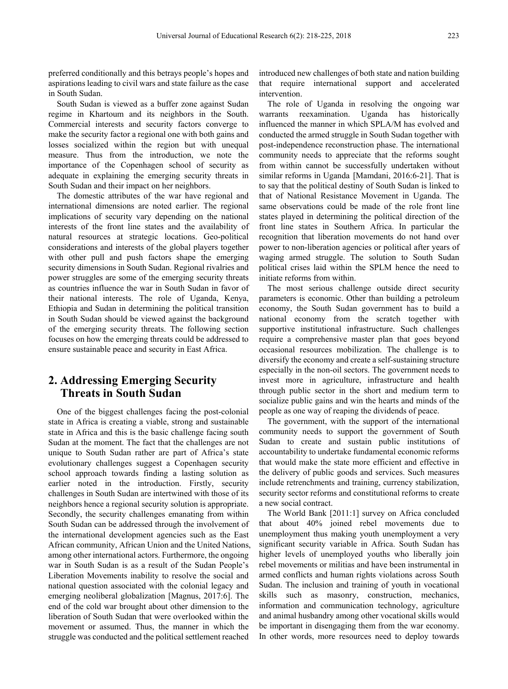preferred conditionally and this betrays people's hopes and aspirations leading to civil wars and state failure as the case in South Sudan.

South Sudan is viewed as a buffer zone against Sudan regime in Khartoum and its neighbors in the South. Commercial interests and security factors converge to make the security factor a regional one with both gains and losses socialized within the region but with unequal measure. Thus from the introduction, we note the importance of the Copenhagen school of security as adequate in explaining the emerging security threats in South Sudan and their impact on her neighbors.

The domestic attributes of the war have regional and international dimensions are noted earlier. The regional implications of security vary depending on the national interests of the front line states and the availability of natural resources at strategic locations. Geo-political considerations and interests of the global players together with other pull and push factors shape the emerging security dimensions in South Sudan. Regional rivalries and power struggles are some of the emerging security threats as countries influence the war in South Sudan in favor of their national interests. The role of Uganda, Kenya, Ethiopia and Sudan in determining the political transition in South Sudan should be viewed against the background of the emerging security threats. The following section focuses on how the emerging threats could be addressed to ensure sustainable peace and security in East Africa.

## **2. Addressing Emerging Security Threats in South Sudan**

One of the biggest challenges facing the post-colonial state in Africa is creating a viable, strong and sustainable state in Africa and this is the basic challenge facing south Sudan at the moment. The fact that the challenges are not unique to South Sudan rather are part of Africa's state evolutionary challenges suggest a Copenhagen security school approach towards finding a lasting solution as earlier noted in the introduction. Firstly, security challenges in South Sudan are intertwined with those of its neighbors hence a regional security solution is appropriate. Secondly, the security challenges emanating from within South Sudan can be addressed through the involvement of the international development agencies such as the East African community, African Union and the United Nations, among other international actors. Furthermore, the ongoing war in South Sudan is as a result of the Sudan People's Liberation Movements inability to resolve the social and national question associated with the colonial legacy and emerging neoliberal globalization [Magnus, 2017:6]. The end of the cold war brought about other dimension to the liberation of South Sudan that were overlooked within the movement or assumed. Thus, the manner in which the struggle was conducted and the political settlement reached

introduced new challenges of both state and nation building that require international support and accelerated intervention.

The role of Uganda in resolving the ongoing war warrants reexamination. Uganda has historically influenced the manner in which SPLA/M has evolved and conducted the armed struggle in South Sudan together with post-independence reconstruction phase. The international community needs to appreciate that the reforms sought from within cannot be successfully undertaken without similar reforms in Uganda [Mamdani, 2016:6-21]. That is to say that the political destiny of South Sudan is linked to that of National Resistance Movement in Uganda. The same observations could be made of the role front line states played in determining the political direction of the front line states in Southern Africa. In particular the recognition that liberation movements do not hand over power to non-liberation agencies or political after years of waging armed struggle. The solution to South Sudan political crises laid within the SPLM hence the need to initiate reforms from within.

The most serious challenge outside direct security parameters is economic. Other than building a petroleum economy, the South Sudan government has to build a national economy from the scratch together with supportive institutional infrastructure. Such challenges require a comprehensive master plan that goes beyond occasional resources mobilization. The challenge is to diversify the economy and create a self-sustaining structure especially in the non-oil sectors. The government needs to invest more in agriculture, infrastructure and health through public sector in the short and medium term to socialize public gains and win the hearts and minds of the people as one way of reaping the dividends of peace.

The government, with the support of the international community needs to support the government of South Sudan to create and sustain public institutions of accountability to undertake fundamental economic reforms that would make the state more efficient and effective in the delivery of public goods and services. Such measures include retrenchments and training, currency stabilization, security sector reforms and constitutional reforms to create a new social contract.

The World Bank [2011:1] survey on Africa concluded that about 40% joined rebel movements due to unemployment thus making youth unemployment a very significant security variable in Africa. South Sudan has higher levels of unemployed youths who liberally join rebel movements or militias and have been instrumental in armed conflicts and human rights violations across South Sudan. The inclusion and training of youth in vocational skills such as masonry, construction, mechanics, information and communication technology, agriculture and animal husbandry among other vocational skills would be important in disengaging them from the war economy. In other words, more resources need to deploy towards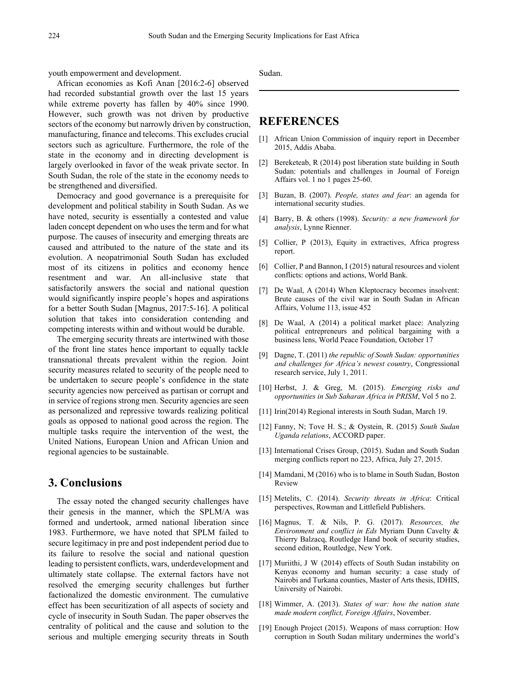youth empowerment and development.

African economies as Kofi Anan [2016:2-6] observed had recorded substantial growth over the last 15 years while extreme poverty has fallen by 40% since 1990. However, such growth was not driven by productive sectors of the economy but narrowly driven by construction, manufacturing, finance and telecoms. This excludes crucial sectors such as agriculture. Furthermore, the role of the state in the economy and in directing development is largely overlooked in favor of the weak private sector. In South Sudan, the role of the state in the economy needs to be strengthened and diversified.

Democracy and good governance is a prerequisite for development and political stability in South Sudan. As we have noted, security is essentially a contested and value laden concept dependent on who uses the term and for what purpose. The causes of insecurity and emerging threats are caused and attributed to the nature of the state and its evolution. A neopatrimonial South Sudan has excluded most of its citizens in politics and economy hence resentment and war. An all-inclusive state that satisfactorily answers the social and national question would significantly inspire people's hopes and aspirations for a better South Sudan [Magnus, 2017:5-16]. A political solution that takes into consideration contending and competing interests within and without would be durable.

The emerging security threats are intertwined with those of the front line states hence important to equally tackle transnational threats prevalent within the region. Joint security measures related to security of the people need to be undertaken to secure people's confidence in the state security agencies now perceived as partisan or corrupt and in service of regions strong men. Security agencies are seen as personalized and repressive towards realizing political goals as opposed to national good across the region. The multiple tasks require the intervention of the west, the United Nations, European Union and African Union and regional agencies to be sustainable.

## **3. Conclusions**

The essay noted the changed security challenges have their genesis in the manner, which the SPLM/A was formed and undertook, armed national liberation since 1983. Furthermore, we have noted that SPLM failed to secure legitimacy in pre and post independent period due to its failure to resolve the social and national question leading to persistent conflicts, wars, underdevelopment and ultimately state collapse. The external factors have not resolved the emerging security challenges but further factionalized the domestic environment. The cumulative effect has been securitization of all aspects of society and cycle of insecurity in South Sudan. The paper observes the centrality of political and the cause and solution to the serious and multiple emerging security threats in South

Sudan.

## **REFERENCES**

- [1] African Union Commission of inquiry report in December 2015, Addis Ababa.
- [2] Bereketeab, R (2014) post liberation state building in South Sudan: potentials and challenges in Journal of Foreign Affairs vol. 1 no 1 pages 25-60.
- [3] Buzan, B. (2007). *People, states and fear*: an agenda for international security studies.
- [4] Barry, B. & others (1998). *Security: a new framework for analysis*, Lynne Rienner.
- [5] Collier, P (2013), Equity in extractives, Africa progress report.
- [6] Collier, P and Bannon, I (2015) natural resources and violent conflicts: options and actions, World Bank.
- [7] De Waal, A (2014) When Kleptocracy becomes insolvent: Brute causes of the civil war in South Sudan in African Affairs, Volume 113, issue 452
- [8] De Waal, A (2014) a political market place: Analyzing political entrepreneurs and political bargaining with a business lens, World Peace Foundation, October 17
- [9] Dagne, T. (2011) *the republic of South Sudan: opportunities and challenges for Africa's newest country*, Congressional research service, July 1, 2011.
- [10] Herbst, J. & Greg, M. (2015). *Emerging risks and opportunities in Sub Saharan Africa in PRISM*, Vol 5 no 2.
- [11] Irin(2014) Regional interests in South Sudan, March 19.
- [12] Fanny, N; Tove H. S.; & Oystein, R. (2015) *South Sudan Uganda relations*, ACCORD paper.
- [13] International Crises Group, (2015). Sudan and South Sudan merging conflicts report no 223, Africa, July 27, 2015.
- [14] Mamdani, M (2016) who is to blame in South Sudan, Boston Review
- [15] Metelits, C. (2014). *Security threats in Africa*: Critical perspectives, Rowman and Littlefield Publishers.
- [16] Magnus, T. & Nils, P. G. (2017). *Resources, the Environment and conflict in Eds* Myriam Dunn Cavelty & Thierry Balzacq, Routledge Hand book of security studies, second edition, Routledge, New York.
- [17] Muriithi, J W (2014) effects of South Sudan instability on Kenyas economy and human security: a case study of Nairobi and Turkana counties, Master of Arts thesis, IDHIS, University of Nairobi.
- [18] Wimmer, A. (2013). *States of war: how the nation state made modern conflict, Foreign Affairs*, November.
- [19] Enough Project (2015). Weapons of mass corruption: How corruption in South Sudan military undermines the world's